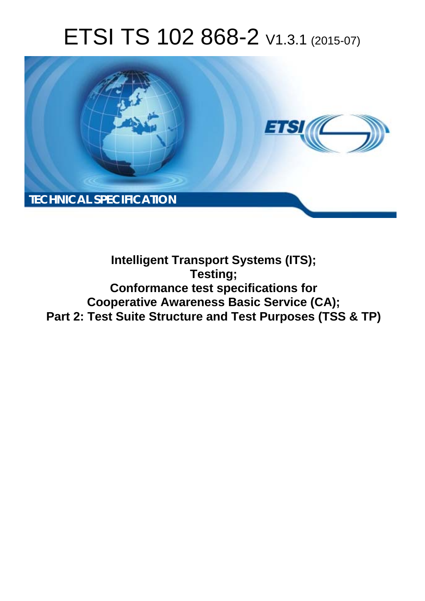# ETSI TS 102 868-2 V1.3.1 (2015-07)



## **Intelligent Transport Systems (ITS); Testing; Conformance test specifications for Cooperative Awareness Basic Service (CA); Part 2: Test Suite Structure and Test Purposes (TSS & TP)**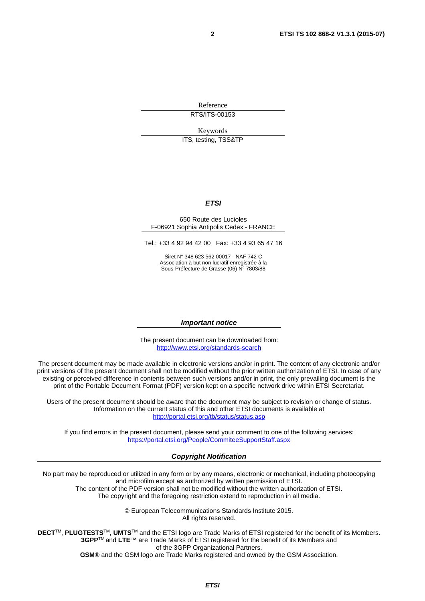Reference RTS/ITS-00153

Keywords

ITS, testing, TSS&TP

#### *ETSI*

#### 650 Route des Lucioles F-06921 Sophia Antipolis Cedex - FRANCE

Tel.: +33 4 92 94 42 00 Fax: +33 4 93 65 47 16

Siret N° 348 623 562 00017 - NAF 742 C Association à but non lucratif enregistrée à la Sous-Préfecture de Grasse (06) N° 7803/88

#### *Important notice*

The present document can be downloaded from: <http://www.etsi.org/standards-search>

The present document may be made available in electronic versions and/or in print. The content of any electronic and/or print versions of the present document shall not be modified without the prior written authorization of ETSI. In case of any existing or perceived difference in contents between such versions and/or in print, the only prevailing document is the print of the Portable Document Format (PDF) version kept on a specific network drive within ETSI Secretariat.

Users of the present document should be aware that the document may be subject to revision or change of status. Information on the current status of this and other ETSI documents is available at <http://portal.etsi.org/tb/status/status.asp>

If you find errors in the present document, please send your comment to one of the following services: <https://portal.etsi.org/People/CommiteeSupportStaff.aspx>

#### *Copyright Notification*

No part may be reproduced or utilized in any form or by any means, electronic or mechanical, including photocopying and microfilm except as authorized by written permission of ETSI.

The content of the PDF version shall not be modified without the written authorization of ETSI. The copyright and the foregoing restriction extend to reproduction in all media.

> © European Telecommunications Standards Institute 2015. All rights reserved.

**DECT**TM, **PLUGTESTS**TM, **UMTS**TM and the ETSI logo are Trade Marks of ETSI registered for the benefit of its Members. **3GPP**TM and **LTE**™ are Trade Marks of ETSI registered for the benefit of its Members and of the 3GPP Organizational Partners.

**GSM**® and the GSM logo are Trade Marks registered and owned by the GSM Association.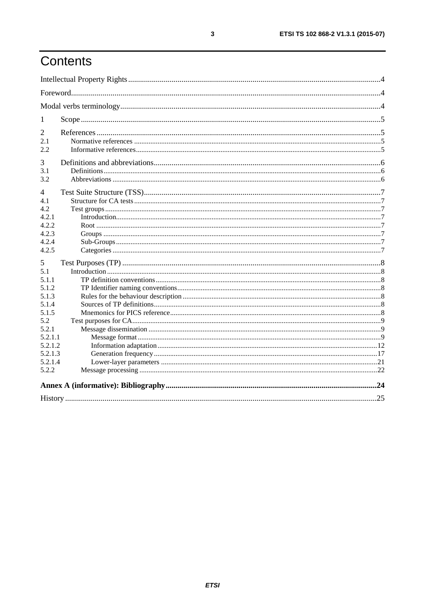# Contents

| 1       |  |  |  |
|---------|--|--|--|
| 2       |  |  |  |
| 2.1     |  |  |  |
| 2.2     |  |  |  |
| 3       |  |  |  |
| 3.1     |  |  |  |
| 3.2     |  |  |  |
| 4       |  |  |  |
| 4.1     |  |  |  |
| 4.2     |  |  |  |
| 4.2.1   |  |  |  |
| 4.2.2   |  |  |  |
| 4.2.3   |  |  |  |
| 4.2.4   |  |  |  |
| 4.2.5   |  |  |  |
| 5       |  |  |  |
| 5.1     |  |  |  |
| 5.1.1   |  |  |  |
| 5.1.2   |  |  |  |
| 5.1.3   |  |  |  |
| 5.1.4   |  |  |  |
| 5.1.5   |  |  |  |
| 5.2     |  |  |  |
| 5.2.1   |  |  |  |
| 5.2.1.1 |  |  |  |
| 5.2.1.2 |  |  |  |
| 5.2.1.3 |  |  |  |
| 5.2.1.4 |  |  |  |
| 5.2.2   |  |  |  |
|         |  |  |  |
|         |  |  |  |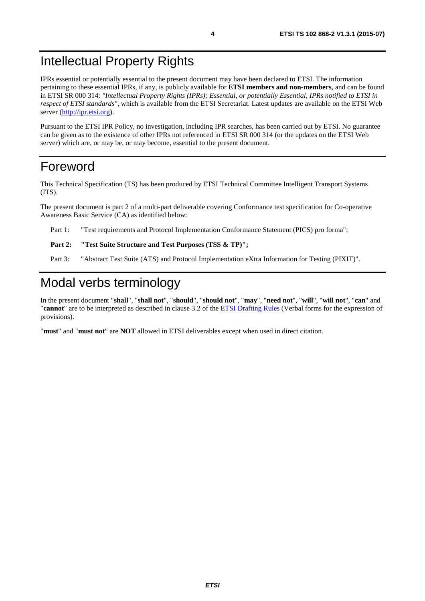### <span id="page-3-0"></span>Intellectual Property Rights

IPRs essential or potentially essential to the present document may have been declared to ETSI. The information pertaining to these essential IPRs, if any, is publicly available for **ETSI members and non-members**, and can be found in ETSI SR 000 314: *"Intellectual Property Rights (IPRs); Essential, or potentially Essential, IPRs notified to ETSI in respect of ETSI standards"*, which is available from the ETSI Secretariat. Latest updates are available on the ETSI Web server [\(http://ipr.etsi.org\)](http://webapp.etsi.org/IPR/home.asp).

Pursuant to the ETSI IPR Policy, no investigation, including IPR searches, has been carried out by ETSI. No guarantee can be given as to the existence of other IPRs not referenced in ETSI SR 000 314 (or the updates on the ETSI Web server) which are, or may be, or may become, essential to the present document.

### Foreword

This Technical Specification (TS) has been produced by ETSI Technical Committee Intelligent Transport Systems (ITS).

The present document is part 2 of a multi-part deliverable covering Conformance test specification for Co-operative Awareness Basic Service (CA) as identified below:

Part 1: "Test requirements and Protocol Implementation Conformance Statement (PICS) pro forma";

#### Part 2: "Test Suite Structure and Test Purposes (TSS & TP)";

Part 3: "Abstract Test Suite (ATS) and Protocol Implementation eXtra Information for Testing (PIXIT)".

# Modal verbs terminology

In the present document "**shall**", "**shall not**", "**should**", "**should not**", "**may**", "**need not**", "**will**", "**will not**", "**can**" and "**cannot**" are to be interpreted as described in clause 3.2 of the [ETSI Drafting Rules](http://portal.etsi.org/Help/editHelp!/Howtostart/ETSIDraftingRules.aspx) (Verbal forms for the expression of provisions).

"**must**" and "**must not**" are **NOT** allowed in ETSI deliverables except when used in direct citation.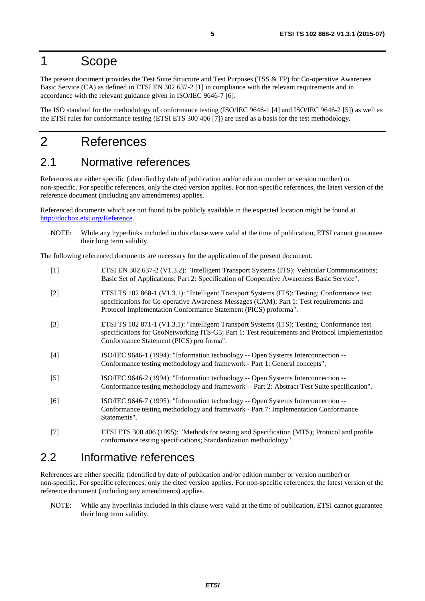### <span id="page-4-0"></span>1 Scope

The present document provides the Test Suite Structure and Test Purposes (TSS & TP) for Co-operative Awareness Basic Service (CA) as defined in ETSI EN 302 637-2 [1] in compliance with the relevant requirements and in accordance with the relevant guidance given in ISO/IEC 9646-7 [6].

The ISO standard for the methodology of conformance testing (ISO/IEC 9646-1 [4] and ISO/IEC 9646-2 [5]) as well as the ETSI rules for conformance testing (ETSI ETS 300 406 [7]) are used as a basis for the test methodology.

# 2 References

### 2.1 Normative references

References are either specific (identified by date of publication and/or edition number or version number) or non-specific. For specific references, only the cited version applies. For non-specific references, the latest version of the reference document (including any amendments) applies.

Referenced documents which are not found to be publicly available in the expected location might be found at <http://docbox.etsi.org/Reference>.

NOTE: While any hyperlinks included in this clause were valid at the time of publication, ETSI cannot guarantee their long term validity.

The following referenced documents are necessary for the application of the present document.

| $[1]$ | ETSI EN 302 637-2 (V1.3.2): "Intelligent Transport Systems (ITS); Vehicular Communications;<br>Basic Set of Applications; Part 2: Specification of Cooperative Awareness Basic Service".                                                                  |
|-------|-----------------------------------------------------------------------------------------------------------------------------------------------------------------------------------------------------------------------------------------------------------|
| $[2]$ | ETSI TS 102 868-1 (V1.3.1): "Intelligent Transport Systems (ITS); Testing; Conformance test<br>specifications for Co-operative Awareness Messages (CAM); Part 1: Test requirements and<br>Protocol Implementation Conformance Statement (PICS) proforma". |
| $[3]$ | ETSI TS 102 871-1 (V1.3.1): "Intelligent Transport Systems (ITS); Testing; Conformance test<br>specifications for GeoNetworking ITS-G5; Part 1: Test requirements and Protocol Implementation<br>Conformance Statement (PICS) pro forma".                 |
| $[4]$ | ISO/IEC 9646-1 (1994): "Information technology -- Open Systems Interconnection --<br>Conformance testing methodology and framework - Part 1: General concepts".                                                                                           |
| $[5]$ | ISO/IEC 9646-2 (1994): "Information technology -- Open Systems Interconnection --<br>Conformance testing methodology and framework -- Part 2: Abstract Test Suite specification".                                                                         |
| [6]   | ISO/IEC 9646-7 (1995): "Information technology -- Open Systems Interconnection --<br>Conformance testing methodology and framework - Part 7: Implementation Conformance<br>Statements".                                                                   |
| $[7]$ | ETSI ETS 300 406 (1995): "Methods for testing and Specification (MTS); Protocol and profile<br>conformance testing specifications; Standardization methodology".                                                                                          |

### 2.2 Informative references

References are either specific (identified by date of publication and/or edition number or version number) or non-specific. For specific references, only the cited version applies. For non-specific references, the latest version of the reference document (including any amendments) applies.

NOTE: While any hyperlinks included in this clause were valid at the time of publication, ETSI cannot guarantee their long term validity.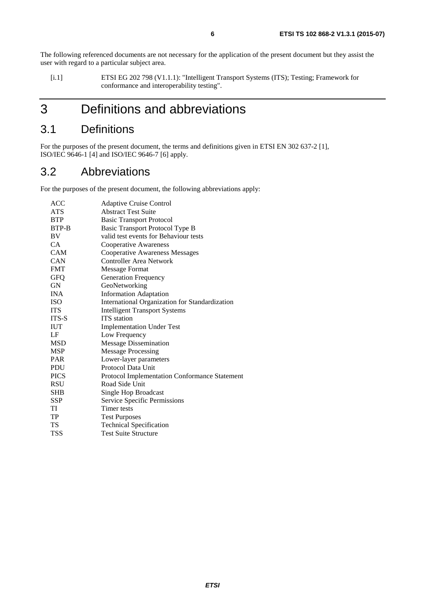<span id="page-5-0"></span>The following referenced documents are not necessary for the application of the present document but they assist the user with regard to a particular subject area.

[i.1] ETSI EG 202 798 (V1.1.1): "Intelligent Transport Systems (ITS); Testing; Framework for conformance and interoperability testing".

# 3 Definitions and abbreviations

### 3.1 Definitions

For the purposes of the present document, the terms and definitions given in ETSI EN 302 637-2 [[1](#page-4-0)], ISO/IEC 9646-1 [\[4](#page-4-0)] and ISO/IEC 9646-7 [[6](#page-4-0)] apply.

### 3.2 Abbreviations

For the purposes of the present document, the following abbreviations apply:

| <b>ACC</b>  | <b>Adaptive Cruise Control</b>                 |
|-------------|------------------------------------------------|
| <b>ATS</b>  | <b>Abstract Test Suite</b>                     |
| <b>BTP</b>  | <b>Basic Transport Protocol</b>                |
| BTP-B       | Basic Transport Protocol Type B                |
| BV          | valid test events for Behaviour tests          |
| CA          | <b>Cooperative Awareness</b>                   |
| <b>CAM</b>  | <b>Cooperative Awareness Messages</b>          |
| <b>CAN</b>  | <b>Controller Area Network</b>                 |
| <b>FMT</b>  | <b>Message Format</b>                          |
| <b>GFQ</b>  | <b>Generation Frequency</b>                    |
| <b>GN</b>   | GeoNetworking                                  |
| <b>INA</b>  | <b>Information Adaptation</b>                  |
| <b>ISO</b>  | International Organization for Standardization |
| <b>ITS</b>  | <b>Intelligent Transport Systems</b>           |
| ITS-S       | <b>ITS</b> station                             |
| <b>IUT</b>  | <b>Implementation Under Test</b>               |
| LF          | Low Frequency                                  |
| <b>MSD</b>  | <b>Message Dissemination</b>                   |
| <b>MSP</b>  | <b>Message Processing</b>                      |
| <b>PAR</b>  | Lower-layer parameters                         |
| PDU         | Protocol Data Unit                             |
| <b>PICS</b> | Protocol Implementation Conformance Statement  |
| <b>RSU</b>  | Road Side Unit                                 |
| <b>SHB</b>  | Single Hop Broadcast                           |
| <b>SSP</b>  | Service Specific Permissions                   |
| TI          | Timer tests                                    |
| TP          | <b>Test Purposes</b>                           |
| TS          | <b>Technical Specification</b>                 |
| <b>TSS</b>  | <b>Test Suite Structure</b>                    |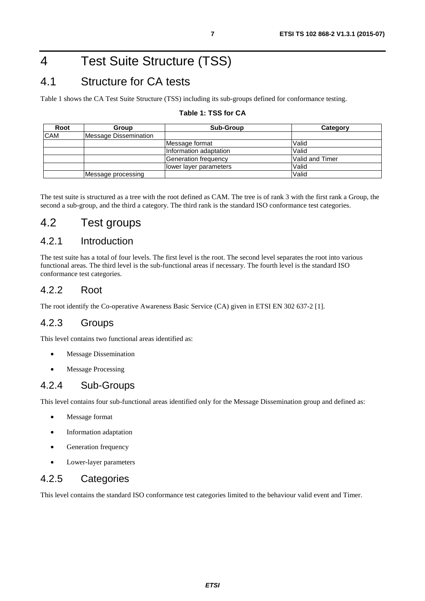# <span id="page-6-0"></span>4 Test Suite Structure (TSS)

### 4.1 Structure for CA tests

Table 1 shows the CA Test Suite Structure (TSS) including its sub-groups defined for conformance testing.

#### **Table 1: TSS for CA**

| Root       | Group                 | <b>Sub-Group</b>        | Category        |
|------------|-----------------------|-------------------------|-----------------|
| <b>CAM</b> | Message Dissemination |                         |                 |
|            |                       | Message format          | Valid           |
|            |                       | Information adaptation  | Valid           |
|            |                       | Generation frequency    | Valid and Timer |
|            |                       | llower layer parameters | Valid           |
|            | Message processing    |                         | Valid           |

The test suite is structured as a tree with the root defined as CAM. The tree is of rank 3 with the first rank a Group, the second a sub-group, and the third a category. The third rank is the standard ISO conformance test categories.

#### 4.2 Test groups

#### 4.2.1 Introduction

The test suite has a total of four levels. The first level is the root. The second level separates the root into various functional areas. The third level is the sub-functional areas if necessary. The fourth level is the standard ISO conformance test categories.

#### 4.2.2 Root

The root identify the Co-operative Awareness Basic Service (CA) given in ETSI EN 302 637-2 [\[1](#page-4-0)].

#### 4.2.3 Groups

This level contains two functional areas identified as:

- Message Dissemination
- Message Processing

#### 4.2.4 Sub-Groups

This level contains four sub-functional areas identified only for the Message Dissemination group and defined as:

- Message format
- Information adaptation
- Generation frequency
- Lower-layer parameters

#### 4.2.5 Categories

This level contains the standard ISO conformance test categories limited to the behaviour valid event and Timer.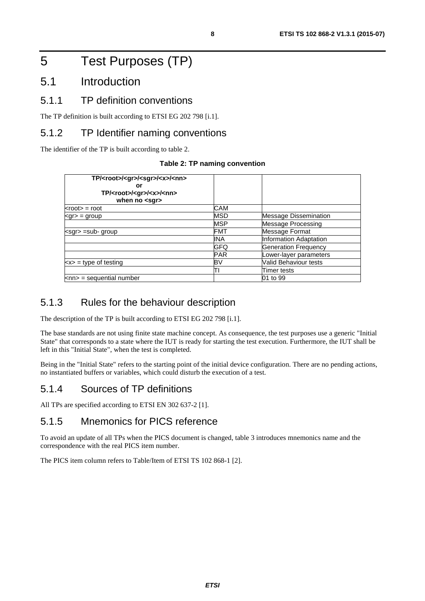# <span id="page-7-0"></span>5 Test Purposes (TP)

### 5.1 Introduction

#### 5.1.1 TP definition conventions

The TP definition is built according to ETSI EG 202 798 [\[i.1](#page-5-0)].

#### 5.1.2 TP Identifier naming conventions

The identifier of the TP is built according to table 2.

#### **Table 2: TP naming convention**

| TP/ <root>/<gr>/<sgr>/<x>/<nn><br/>or<br/>TP/<root>/<gr>/<x>/<nn><br/>when no <sqr></sqr></nn></x></gr></root></nn></x></sgr></gr></root> |            |                              |
|-------------------------------------------------------------------------------------------------------------------------------------------|------------|------------------------------|
| $<$ root $>$ = root                                                                                                                       | CAM        |                              |
| $<$ gr $>$ = group                                                                                                                        | <b>MSD</b> | <b>Message Dissemination</b> |
|                                                                                                                                           | <b>MSP</b> | <b>Message Processing</b>    |
| $\leq$ sar $>$ =sub- group                                                                                                                | FMT        | Message Format               |
|                                                                                                                                           | <b>INA</b> | Information Adaptation       |
|                                                                                                                                           | <b>GFQ</b> | <b>Generation Frequency</b>  |
|                                                                                                                                           | <b>PAR</b> | Lower-layer parameters       |
| $\langle x \rangle$ = type of testing                                                                                                     | BV         | Valid Behaviour tests        |
|                                                                                                                                           | ΠI         | Timer tests                  |
| $\textsf{knn}$ = sequential number                                                                                                        |            | 01 to 99                     |

#### 5.1.3 Rules for the behaviour description

The description of the TP is built according to ETSI EG 202 798 [\[i.1](#page-5-0)].

The base standards are not using finite state machine concept. As consequence, the test purposes use a generic "Initial State" that corresponds to a state where the IUT is ready for starting the test execution. Furthermore, the IUT shall be left in this "Initial State", when the test is completed.

Being in the "Initial State" refers to the starting point of the initial device configuration. There are no pending actions, no instantiated buffers or variables, which could disturb the execution of a test.

#### 5.1.4 Sources of TP definitions

All TPs are specified according to ETSI EN 302 637-2 [\[1](#page-4-0)].

#### 5.1.5 Mnemonics for PICS reference

To avoid an update of all TPs when the PICS document is changed, table [3](#page-8-0) introduces mnemonics name and the correspondence with the real PICS item number.

The PICS item column refers to Table/Item of ETSI TS 102 868-1 [\[2](#page-4-0)].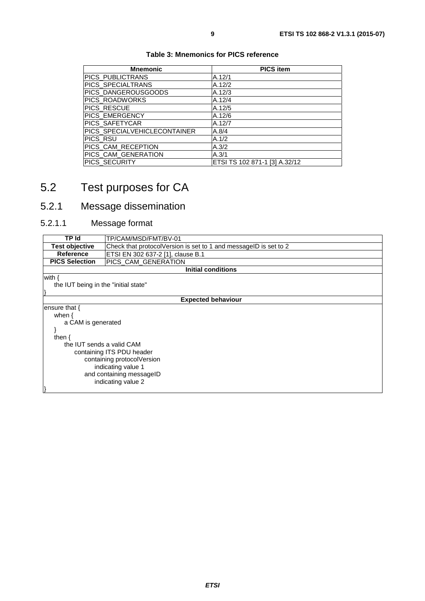<span id="page-8-0"></span>

| <b>Mnemonic</b>              | <b>PICS item</b>              |
|------------------------------|-------------------------------|
| PICS_PUBLICTRANS             | A.12/1                        |
| PICS_SPECIALTRANS            | A.12/2                        |
| PICS_DANGEROUSGOODS          | A.12/3                        |
| PICS_ROADWORKS               | A.12/4                        |
| PICS_RESCUE                  | A.12/5                        |
| PICS_EMERGENCY               | A.12/6                        |
| PICS_SAFETYCAR               | A.12/7                        |
| PICS_SPECIALVEHICLECONTAINER | A.8/4                         |
| PICS RSU                     | A.1/2                         |
| PICS_CAM_RECEPTION           | A.3/2                         |
| PICS CAM GENERATION          | A.3/1                         |
| PICS SECURITY                | ETSI TS 102 871-1 [3] A.32/12 |

#### **Table 3: Mnemonics for PICS reference**

# 5.2 Test purposes for CA

## 5.2.1 Message dissemination

### 5.2.1.1 Message format

| TP Id                                | TP/CAM/MSD/FMT/BV-01                                             |  |  |  |
|--------------------------------------|------------------------------------------------------------------|--|--|--|
|                                      |                                                                  |  |  |  |
| <b>Test objective</b>                | Check that protocolVersion is set to 1 and messageID is set to 2 |  |  |  |
| Reference                            | ETSI EN 302 637-2 [1], clause B.1                                |  |  |  |
| <b>PICS Selection</b>                | PICS CAM GENERATION                                              |  |  |  |
|                                      | Initial conditions                                               |  |  |  |
| with {                               |                                                                  |  |  |  |
| the IUT being in the "initial state" |                                                                  |  |  |  |
|                                      |                                                                  |  |  |  |
|                                      | <b>Expected behaviour</b>                                        |  |  |  |
| ensure that $\{$                     |                                                                  |  |  |  |
| when $\{$                            |                                                                  |  |  |  |
| a CAM is generated                   |                                                                  |  |  |  |
|                                      |                                                                  |  |  |  |
| then $\{$                            |                                                                  |  |  |  |
|                                      | the IUT sends a valid CAM                                        |  |  |  |
| containing ITS PDU header            |                                                                  |  |  |  |
| containing protocolVersion           |                                                                  |  |  |  |
| indicating value 1                   |                                                                  |  |  |  |
|                                      |                                                                  |  |  |  |
| and containing messageID             |                                                                  |  |  |  |
| indicating value 2                   |                                                                  |  |  |  |
|                                      |                                                                  |  |  |  |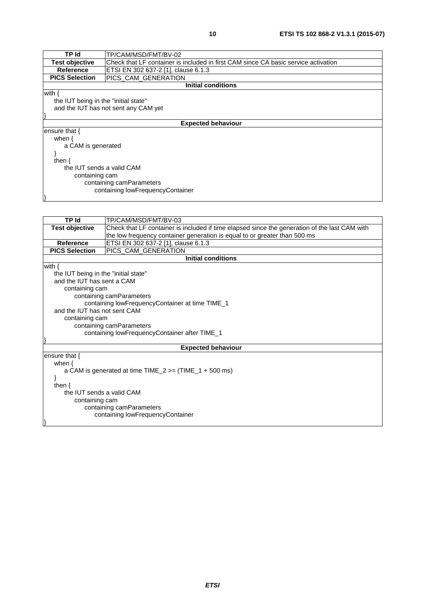| TP Id                                | TP/CAM/MSD/FMT/BV-02                                                               |  |  |
|--------------------------------------|------------------------------------------------------------------------------------|--|--|
| Test objective                       | Check that LF container is included in first CAM since CA basic service activation |  |  |
| <b>Reference</b>                     | ETSI EN 302 637-2 [1], clause 6.1.3                                                |  |  |
| <b>PICS Selection</b>                | PICS_CAM_GENERATION                                                                |  |  |
|                                      | <b>Initial conditions</b>                                                          |  |  |
| with {                               |                                                                                    |  |  |
| the IUT being in the "initial state" |                                                                                    |  |  |
|                                      | and the IUT has not sent any CAM yet                                               |  |  |
|                                      |                                                                                    |  |  |
|                                      | <b>Expected behaviour</b>                                                          |  |  |
| ensure that $\{$                     |                                                                                    |  |  |
| when $\{$                            |                                                                                    |  |  |
| a CAM is generated                   |                                                                                    |  |  |
|                                      |                                                                                    |  |  |
| then $\{$                            |                                                                                    |  |  |
| the IUT sends a valid CAM            |                                                                                    |  |  |
| containing cam                       |                                                                                    |  |  |
| containing camParameters             |                                                                                    |  |  |
| containing lowFrequencyContainer     |                                                                                    |  |  |
|                                      |                                                                                    |  |  |

| <b>TP Id</b>                                                | TP/CAM/MSD/FMT/BV-03                                                                          |  |
|-------------------------------------------------------------|-----------------------------------------------------------------------------------------------|--|
| <b>Test objective</b>                                       | Check that LF container is included if time elapsed since the generation of the last CAM with |  |
|                                                             | the low frequency container generation is equal to or greater than 500 ms                     |  |
| <b>Reference</b>                                            | ETSI EN 302 637-2 [1], clause 6.1.3                                                           |  |
| <b>PICS Selection</b>                                       | PICS_CAM_GENERATION                                                                           |  |
|                                                             | <b>Initial conditions</b>                                                                     |  |
| with $\{$                                                   |                                                                                               |  |
| the IUT being in the "initial state"                        |                                                                                               |  |
| and the IUT has sent a CAM                                  |                                                                                               |  |
| containing cam                                              |                                                                                               |  |
|                                                             | containing camParameters                                                                      |  |
|                                                             | containing lowFrequencyContainer at time TIME_1                                               |  |
| and the IUT has not sent CAM                                |                                                                                               |  |
| containing cam                                              |                                                                                               |  |
| containing camParameters                                    |                                                                                               |  |
|                                                             | containing lowFrequencyContainer after TIME_1                                                 |  |
|                                                             |                                                                                               |  |
| <b>Expected behaviour</b>                                   |                                                                                               |  |
| ensure that $\{$                                            |                                                                                               |  |
| when $\{$                                                   |                                                                                               |  |
| a CAM is generated at time TIME $2 \ge$ (TIME $1 + 500$ ms) |                                                                                               |  |
|                                                             |                                                                                               |  |
| then $\{$                                                   |                                                                                               |  |
| the IUT sends a valid CAM                                   |                                                                                               |  |
| containing cam                                              |                                                                                               |  |
| containing camParameters                                    |                                                                                               |  |
|                                                             | containing lowFrequencyContainer                                                              |  |
|                                                             |                                                                                               |  |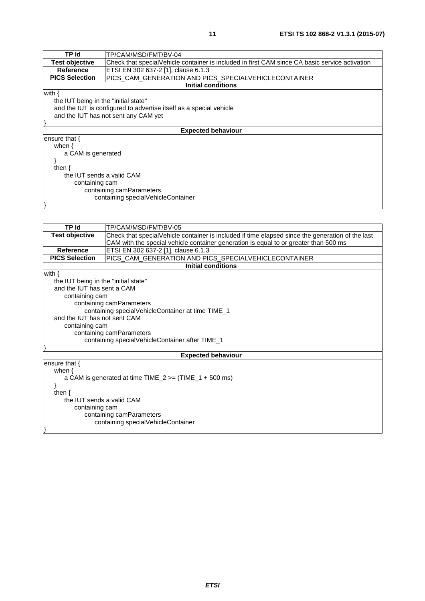| TP Id                                | TP/CAM/MSD/FMT/BV-04                                                                           |  |
|--------------------------------------|------------------------------------------------------------------------------------------------|--|
| <b>Test objective</b>                | Check that specialVehicle container is included in first CAM since CA basic service activation |  |
| Reference                            | ETSI EN 302 637-2 [1], clause 6.1.3                                                            |  |
| <b>PICS Selection</b>                | PICS_CAM_GENERATION AND PICS_SPECIALVEHICLECONTAINER                                           |  |
|                                      | <b>Initial conditions</b>                                                                      |  |
| with $\{$                            |                                                                                                |  |
| the IUT being in the "initial state" |                                                                                                |  |
|                                      | and the IUT is configured to advertise itself as a special vehicle                             |  |
|                                      | and the IUT has not sent any CAM yet                                                           |  |
|                                      |                                                                                                |  |
| <b>Expected behaviour</b>            |                                                                                                |  |
| ensure that {                        |                                                                                                |  |
| when $\{$                            |                                                                                                |  |
| a CAM is generated                   |                                                                                                |  |
|                                      |                                                                                                |  |
| then $\{$                            |                                                                                                |  |
| the IUT sends a valid CAM            |                                                                                                |  |
| containing cam                       |                                                                                                |  |
| containing camParameters             |                                                                                                |  |
| containing specialVehicleContainer   |                                                                                                |  |
|                                      |                                                                                                |  |

| <b>TP Id</b>                                                       | TP/CAM/MSD/FMT/BV-05                                                                             |  |  |
|--------------------------------------------------------------------|--------------------------------------------------------------------------------------------------|--|--|
| <b>Test objective</b>                                              | Check that specialVehicle container is included if time elapsed since the generation of the last |  |  |
|                                                                    | CAM with the special vehicle container generation is equal to or greater than 500 ms             |  |  |
| Reference                                                          | ETSI EN 302 637-2 [1], clause 6.1.3                                                              |  |  |
| <b>PICS Selection</b>                                              | PICS_CAM_GENERATION AND PICS_SPECIALVEHICLECONTAINER                                             |  |  |
|                                                                    | <b>Initial conditions</b>                                                                        |  |  |
| with $\{$                                                          |                                                                                                  |  |  |
| the IUT being in the "initial state"                               |                                                                                                  |  |  |
| and the IUT has sent a CAM                                         |                                                                                                  |  |  |
| containing cam                                                     |                                                                                                  |  |  |
|                                                                    | containing camParameters                                                                         |  |  |
|                                                                    | containing specialVehicleContainer at time TIME_1                                                |  |  |
| and the IUT has not sent CAM                                       |                                                                                                  |  |  |
| containing cam                                                     |                                                                                                  |  |  |
|                                                                    | containing camParameters                                                                         |  |  |
| containing specialVehicleContainer after TIME_1                    |                                                                                                  |  |  |
| <b>Expected behaviour</b>                                          |                                                                                                  |  |  |
| ensure that $\{$                                                   |                                                                                                  |  |  |
| when $\{$                                                          |                                                                                                  |  |  |
| a CAM is generated at time $TIME_2 \geq (TIME_1 + 500 \text{ ms})$ |                                                                                                  |  |  |
|                                                                    |                                                                                                  |  |  |
| then $\{$                                                          |                                                                                                  |  |  |
| the IUT sends a valid CAM                                          |                                                                                                  |  |  |
| containing cam                                                     |                                                                                                  |  |  |
| containing camParameters                                           |                                                                                                  |  |  |
|                                                                    | containing specialVehicleContainer                                                               |  |  |
|                                                                    |                                                                                                  |  |  |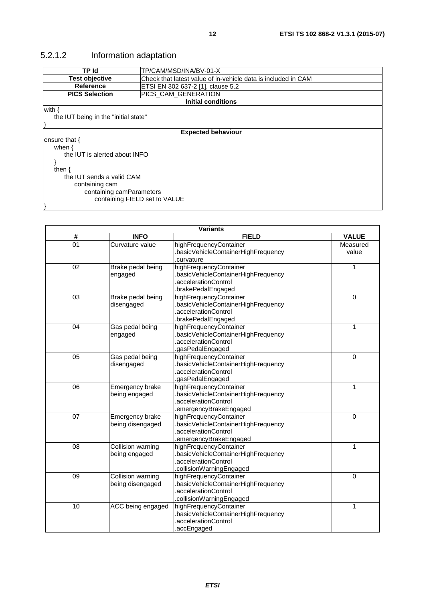### <span id="page-11-0"></span>5.2.1.2 Information adaptation

| TP Id                                | TP/CAM/MSD/INA/BV-01-X                                        |  |  |
|--------------------------------------|---------------------------------------------------------------|--|--|
| <b>Test objective</b>                | Check that latest value of in-vehicle data is included in CAM |  |  |
| Reference                            | ETSI EN 302 637-2 [1], clause 5.2                             |  |  |
| <b>PICS Selection</b>                | PICS_CAM_GENERATION                                           |  |  |
|                                      | <b>Initial conditions</b>                                     |  |  |
| with {                               |                                                               |  |  |
| the IUT being in the "initial state" |                                                               |  |  |
|                                      |                                                               |  |  |
|                                      | <b>Expected behaviour</b>                                     |  |  |
| ensure that $\{$                     |                                                               |  |  |
| when $\{$                            |                                                               |  |  |
| the IUT is alerted about INFO        |                                                               |  |  |
|                                      |                                                               |  |  |
| then $\{$                            |                                                               |  |  |
| the IUT sends a valid CAM            |                                                               |  |  |
| containing cam                       |                                                               |  |  |
| containing camParameters             |                                                               |  |  |
| containing FIELD set to VALUE        |                                                               |  |  |
|                                      |                                                               |  |  |

| <b>Variants</b> |                                       |                                                                                                                   |                   |
|-----------------|---------------------------------------|-------------------------------------------------------------------------------------------------------------------|-------------------|
| #               | <b>INFO</b>                           | <b>FIELD</b>                                                                                                      | <b>VALUE</b>      |
| 01              | Curvature value                       | highFrequencyContainer<br>basicVehicleContainerHighFrequency<br>curvature                                         | Measured<br>value |
| 02              | Brake pedal being<br>engaged          | highFrequencyContainer<br>basicVehicleContainerHighFrequency<br>.accelerationControl<br>brakePedalEngaged.        | 1                 |
| 03              | Brake pedal being<br>disengaged       | highFrequencyContainer<br>basicVehicleContainerHighFrequency<br>.accelerationControl<br>brakePedalEngaged.        | 0                 |
| 04              | Gas pedal being<br>engaged            | highFrequencyContainer<br>.basicVehicleContainerHighFrequency<br>.accelerationControl<br>.gasPedalEngaged         | 1                 |
| 05              | Gas pedal being<br>disengaged         | highFrequencyContainer<br>basicVehicleContainerHighFrequency<br>.accelerationControl<br>.gasPedalEngaged          | $\mathbf 0$       |
| 06              | Emergency brake<br>being engaged      | highFrequencyContainer<br>basicVehicleContainerHighFrequency<br>.accelerationControl<br>emergencyBrakeEngaged.    | 1                 |
| 07              | Emergency brake<br>being disengaged   | highFrequencyContainer<br>.basicVehicleContainerHighFrequency<br>.accelerationControl<br>emergencyBrakeEngaged    | $\overline{0}$    |
| 08              | Collision warning<br>being engaged    | highFrequencyContainer<br>.basicVehicleContainerHighFrequency<br>.accelerationControl<br>.collisionWarningEngaged | 1                 |
| 09              | Collision warning<br>being disengaged | highFrequencyContainer<br>.basicVehicleContainerHighFrequency<br>accelerationControl<br>collisionWarningEngaged   | $\mathbf 0$       |
| 10              | ACC being engaged                     | highFrequencyContainer<br>.basicVehicleContainerHighFrequency<br>.accelerationControl<br>accEngaged.              | 1                 |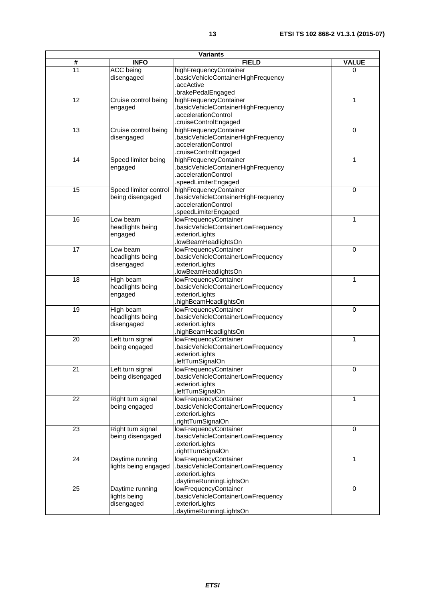| <b>Variants</b>             |                                               |                                                                                                                                    |              |
|-----------------------------|-----------------------------------------------|------------------------------------------------------------------------------------------------------------------------------------|--------------|
| $\overline{\boldsymbol{t}}$ | <b>INFO</b>                                   | <b>FIELD</b>                                                                                                                       | <b>VALUE</b> |
| 11                          | ACC being<br>disengaged                       | highFrequencyContainer<br>.basicVehicleContainerHighFrequency<br>accActive                                                         | 0            |
| 12                          | Cruise control being<br>engaged               | brakePedalEngaged<br>highFrequencyContainer<br>.basicVehicleContainerHighFrequency<br>.accelerationControl<br>cruiseControlEngaged | 1            |
| 13                          | Cruise control being<br>disengaged            | highFrequencyContainer<br>.basicVehicleContainerHighFrequency<br>.accelerationControl<br>cruiseControlEngaged                      | 0            |
| $\overline{14}$             | Speed limiter being<br>engaged                | highFrequencyContainer<br>.basicVehicleContainerHighFrequency<br>.accelerationControl<br>.speedLimiterEngaged                      | 1            |
| 15                          | Speed limiter control<br>being disengaged     | highFrequencyContainer<br>basicVehicleContainerHighFrequency<br>.accelerationControl<br>speedLimiterEngaged                        | 0            |
| 16                          | Low beam<br>headlights being<br>engaged       | lowFrequencyContainer<br>basicVehicleContainerLowFrequency.<br>exteriorLights<br>.lowBeamHeadlightsOn                              | 1            |
| 17                          | Low beam<br>headlights being<br>disengaged    | lowFrequencyContainer<br>.basicVehicleContainerLowFrequency<br>exteriorLights<br>.lowBeamHeadlightsOn                              | 0            |
| 18                          | High beam<br>headlights being<br>engaged      | lowFrequencyContainer<br>basicVehicleContainerLowFrequency<br>exteriorLights.<br>highBeamHeadlightsOn                              | 1            |
| 19                          | High beam<br>headlights being<br>disengaged   | lowFrequencyContainer<br>basicVehicleContainerLowFrequency<br>exteriorLights.<br>highBeamHeadlightsOn                              | 0            |
| 20                          | Left turn signal<br>being engaged             | lowFrequencyContainer<br>.basicVehicleContainerLowFrequency<br>exteriorLights<br>.leftTurnSignalOn                                 | 1            |
| 21                          | Left turn signal<br>being disengaged          | lowFrequencyContainer<br>basicVehicleContainerLowFrequency<br>exteriorLights<br>.leftTurnSignalOn                                  | 0            |
| 22                          | Right turn signal<br>being engaged            | lowFrequencyContainer<br>basicVehicleContainerLowFrequency<br>exteriorLights.<br>rightTurnSignalOn.                                | 1            |
| 23                          | Right turn signal<br>being disengaged         | lowFrequencyContainer<br>basicVehicleContainerLowFrequency<br>exteriorLights<br>rightTurnSignalOn                                  | $\mathbf 0$  |
| 24                          | Daytime running<br>lights being engaged       | lowFrequencyContainer<br>basicVehicleContainerLowFrequency<br>exteriorLights<br>daytimeRunningLightsOn                             | 1            |
| 25                          | Daytime running<br>lights being<br>disengaged | lowFrequencyContainer<br>basicVehicleContainerLowFrequency<br>exteriorLights<br>daytimeRunningLightsOn                             | 0            |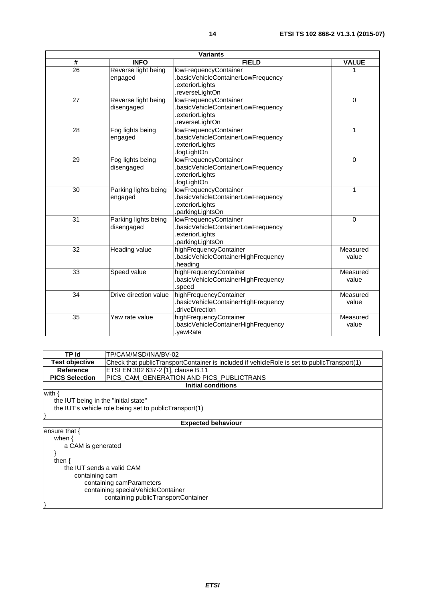| <b>Variants</b>         |                                    |                                                                                                  |                   |
|-------------------------|------------------------------------|--------------------------------------------------------------------------------------------------|-------------------|
| $\overline{\mathbf{t}}$ | <b>INFO</b>                        | <b>FIELD</b>                                                                                     | <b>VALUE</b>      |
| 26                      | Reverse light being<br>engaged     | lowFrequencyContainer<br>basicVehicleContainerLowFrequency                                       | 1                 |
|                         |                                    | exteriorLights<br>.reverseLightOn                                                                |                   |
| $\overline{27}$         | Reverse light being<br>disengaged  | lowFrequencyContainer<br>basicVehicleContainerLowFrequency<br>exteriorLights<br>reverseLightOn.  | $\Omega$          |
| 28                      | Fog lights being<br>engaged        | lowFrequencyContainer<br>basicVehicleContainerLowFrequency<br>exteriorLights.<br>.fogLightOn     | $\mathbf{1}$      |
| 29                      | Fog lights being<br>disengaged     | lowFrequencyContainer<br>basicVehicleContainerLowFrequency<br>.exteriorLights<br>.fogLightOn     | $\Omega$          |
| 30                      | Parking lights being<br>engaged    | lowFrequencyContainer<br>basicVehicleContainerLowFrequency<br>exteriorLights<br>.parkingLightsOn | $\mathbf{1}$      |
| 31                      | Parking lights being<br>disengaged | lowFrequencyContainer<br>basicVehicleContainerLowFrequency<br>exteriorLights<br>parkingLightsOn. | $\Omega$          |
| 32                      | Heading value                      | highFrequencyContainer<br>.basicVehicleContainerHighFrequency<br>heading.                        | Measured<br>value |
| 33                      | Speed value                        | highFrequencyContainer<br>basicVehicleContainerHighFrequency<br>speed.                           | Measured<br>value |
| 34                      | Drive direction value              | highFrequencyContainer<br>.basicVehicleContainerHighFrequency<br>driveDirection.                 | Measured<br>value |
| 35                      | Yaw rate value                     | highFrequencyContainer<br>basicVehicleContainerHighFrequency<br>.vawRate                         | Measured<br>value |

**TP Id** TP/CAM/MSD/INA/BV-02<br>**Test objective** Check that publicTranspo **Test objective** Check that publicTransportContainer is included if vehicleRole is set to publicTransport(1)<br>Reference ETSI EN 302 637-2 [1], clause B.11 **Reference** ETSI EN 302 637-2 [\[1](#page-4-0)], clause B.11<br>**PICS Selection** PICS\_CAM\_GENERATION AND PI PICS\_CAM\_GENERATION AND PICS\_PUBLICTRANS **Initial conditions**

with {

}

}

 the IUT being in the "initial state" the IUT's vehicle role being set to publicTransport(1)

#### **Expected behaviour**

ensure that { when {

}

 a CAM is generated then { the IUT sends a valid CAM containing cam containing camParameters containing specialVehicleContainer containing publicTransportContainer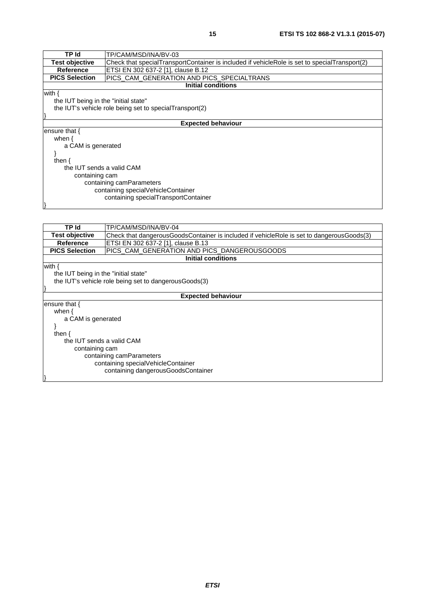| <b>TP</b> Id                         | TP/CAM/MSD/INA/BV-03                                                                          |  |
|--------------------------------------|-----------------------------------------------------------------------------------------------|--|
| <b>Test objective</b>                | Check that specialTransportContainer is included if vehicleRole is set to specialTransport(2) |  |
| <b>Reference</b>                     | ETSI EN 302 637-2 [1], clause B.12                                                            |  |
| <b>PICS Selection</b>                | PICS_CAM_GENERATION AND PICS_SPECIALTRANS                                                     |  |
|                                      | Initial conditions                                                                            |  |
| with $\{$                            |                                                                                               |  |
| the IUT being in the "initial state" |                                                                                               |  |
|                                      | the IUT's vehicle role being set to special Transport(2)                                      |  |
|                                      |                                                                                               |  |
|                                      | <b>Expected behaviour</b>                                                                     |  |
| ensure that $\{$                     |                                                                                               |  |
| when $\{$                            |                                                                                               |  |
| a CAM is generated                   |                                                                                               |  |
|                                      |                                                                                               |  |
| then $\{$                            |                                                                                               |  |
|                                      | the IUT sends a valid CAM                                                                     |  |
| containing cam                       |                                                                                               |  |
| containing camParameters             |                                                                                               |  |
| containing specialVehicleContainer   |                                                                                               |  |
| containing specialTransportContainer |                                                                                               |  |
|                                      |                                                                                               |  |
|                                      |                                                                                               |  |

| TP Id                                | TP/CAM/MSD/INA/BV-04                                                                      |  |  |
|--------------------------------------|-------------------------------------------------------------------------------------------|--|--|
| <b>Test objective</b>                | Check that dangerousGoodsContainer is included if vehicleRole is set to dangerousGoods(3) |  |  |
| Reference                            | ETSI EN 302 637-2 [1], clause B.13                                                        |  |  |
| <b>PICS Selection</b>                | PICS_CAM_GENERATION AND PICS_DANGEROUSGOODS                                               |  |  |
|                                      | <b>Initial conditions</b>                                                                 |  |  |
| with $\{$                            |                                                                                           |  |  |
| the IUT being in the "initial state" |                                                                                           |  |  |
|                                      | the IUT's vehicle role being set to dangerous Goods(3)                                    |  |  |
|                                      |                                                                                           |  |  |
|                                      | <b>Expected behaviour</b>                                                                 |  |  |
| ensure that $\{$                     |                                                                                           |  |  |
| when $\{$                            |                                                                                           |  |  |
| a CAM is generated                   |                                                                                           |  |  |
|                                      |                                                                                           |  |  |
| then $\{$                            |                                                                                           |  |  |
| the IUT sends a valid CAM            |                                                                                           |  |  |
| containing cam                       |                                                                                           |  |  |
| containing camParameters             |                                                                                           |  |  |
| containing specialVehicleContainer   |                                                                                           |  |  |
| containing dangerousGoodsContainer   |                                                                                           |  |  |
|                                      |                                                                                           |  |  |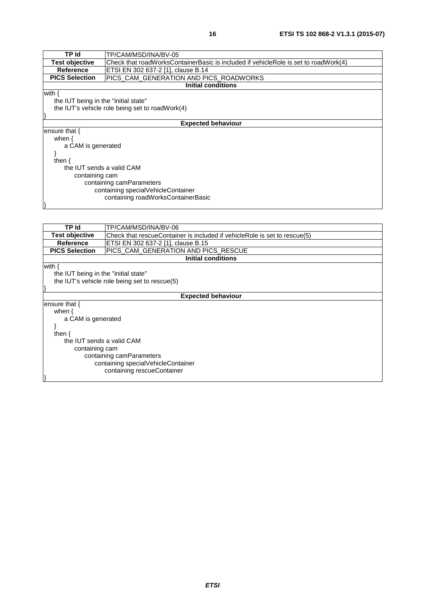| TP Id                                | TP/CAM/MSD/INA/BV-05                                                                |
|--------------------------------------|-------------------------------------------------------------------------------------|
| <b>Test objective</b>                | Check that roadWorksContainerBasic is included if vehicleRole is set to roadWork(4) |
| Reference                            | ETSI EN 302 637-2 [1], clause B.14                                                  |
| <b>PICS Selection</b>                | PICS_CAM_GENERATION AND PICS_ROADWORKS                                              |
|                                      | <b>Initial conditions</b>                                                           |
| with $\{$                            |                                                                                     |
| the IUT being in the "initial state" |                                                                                     |
|                                      | the IUT's vehicle role being set to road Work(4)                                    |
|                                      |                                                                                     |
|                                      | <b>Expected behaviour</b>                                                           |
| ensure that $\{$                     |                                                                                     |
| when $\{$                            |                                                                                     |
| a CAM is generated                   |                                                                                     |
|                                      |                                                                                     |
| then $\{$                            |                                                                                     |
| the IUT sends a valid CAM            |                                                                                     |
| containing cam                       |                                                                                     |
| containing camParameters             |                                                                                     |
| containing specialVehicleContainer   |                                                                                     |
| containing roadWorksContainerBasic   |                                                                                     |
|                                      |                                                                                     |

| TP Id                                | TP/CAM/MSD/INA/BV-06                                                      |  |
|--------------------------------------|---------------------------------------------------------------------------|--|
| <b>Test objective</b>                | Check that rescueContainer is included if vehicleRole is set to rescue(5) |  |
| Reference                            | ETSI EN 302 637-2 [1], clause B.15                                        |  |
| <b>PICS Selection</b>                | PICS_CAM_GENERATION AND PICS_RESCUE                                       |  |
|                                      | <b>Initial conditions</b>                                                 |  |
| with $\{$                            |                                                                           |  |
| the IUT being in the "initial state" |                                                                           |  |
|                                      | the IUT's vehicle role being set to rescue(5)                             |  |
|                                      |                                                                           |  |
| <b>Expected behaviour</b>            |                                                                           |  |
| ensure that $\{$                     |                                                                           |  |
| when $\{$                            |                                                                           |  |
| a CAM is generated                   |                                                                           |  |
|                                      |                                                                           |  |
| then $\{$                            |                                                                           |  |
| the IUT sends a valid CAM            |                                                                           |  |
| containing cam                       |                                                                           |  |
| containing camParameters             |                                                                           |  |
| containing specialVehicleContainer   |                                                                           |  |
| containing rescueContainer           |                                                                           |  |
|                                      |                                                                           |  |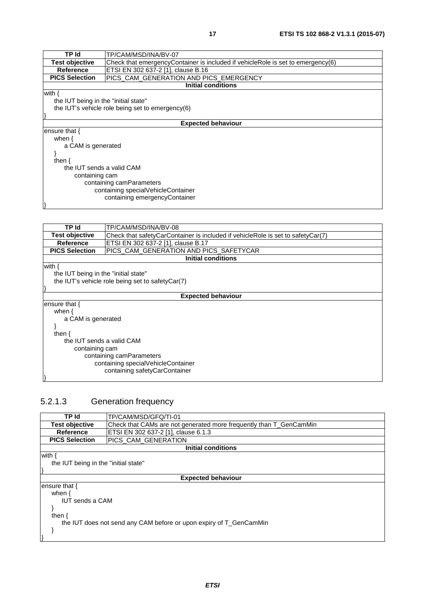<span id="page-16-0"></span>

| TP Id                                | TP/CAM/MSD/INA/BV-07                                                            |  |
|--------------------------------------|---------------------------------------------------------------------------------|--|
| <b>Test objective</b>                | Check that emergencyContainer is included if vehicleRole is set to emergency(6) |  |
| Reference                            | ETSI EN 302 637-2 [1], clause B.16                                              |  |
| <b>PICS Selection</b>                | PICS CAM GENERATION AND PICS EMERGENCY                                          |  |
|                                      | <b>Initial conditions</b>                                                       |  |
| with $\{$                            |                                                                                 |  |
| the IUT being in the "initial state" |                                                                                 |  |
|                                      | the IUT's vehicle role being set to emergency(6)                                |  |
|                                      |                                                                                 |  |
|                                      | <b>Expected behaviour</b>                                                       |  |
| ensure that {                        |                                                                                 |  |
| when $\{$                            |                                                                                 |  |
| a CAM is generated                   |                                                                                 |  |
|                                      |                                                                                 |  |
| then $\{$                            |                                                                                 |  |
|                                      | the IUT sends a valid CAM                                                       |  |
| containing cam                       |                                                                                 |  |
| containing camParameters             |                                                                                 |  |
| containing specialVehicleContainer   |                                                                                 |  |
| containing emergencyContainer        |                                                                                 |  |
|                                      |                                                                                 |  |

| TP Id                                | TP/CAM/MSD/INA/BV-08                                                            |  |
|--------------------------------------|---------------------------------------------------------------------------------|--|
| <b>Test objective</b>                | Check that safetyCarContainer is included if vehicleRole is set to safetyCar(7) |  |
| Reference                            | ETSI EN 302 637-2 [1], clause B.17                                              |  |
| <b>PICS Selection</b>                | PICS_CAM_GENERATION AND PICS_SAFETYCAR                                          |  |
|                                      | Initial conditions                                                              |  |
| with $\{$                            |                                                                                 |  |
| the IUT being in the "initial state" |                                                                                 |  |
|                                      | the IUT's vehicle role being set to safetyCar(7)                                |  |
|                                      |                                                                                 |  |
|                                      | <b>Expected behaviour</b>                                                       |  |
| ensure that {                        |                                                                                 |  |
| when $\{$                            |                                                                                 |  |
| a CAM is generated                   |                                                                                 |  |
|                                      |                                                                                 |  |
| then $\{$                            |                                                                                 |  |
| the IUT sends a valid CAM            |                                                                                 |  |
| containing cam                       |                                                                                 |  |
| containing camParameters             |                                                                                 |  |
| containing specialVehicleContainer   |                                                                                 |  |
| containing safetyCarContainer        |                                                                                 |  |
|                                      |                                                                                 |  |

### 5.2.1.3 Generation frequency

| TP Id                                                              | TP/CAM/MSD/GFQ/TI-01                                               |  |
|--------------------------------------------------------------------|--------------------------------------------------------------------|--|
| <b>Test objective</b>                                              | Check that CAMs are not generated more frequently than T GenCamMin |  |
| Reference                                                          | ETSI EN 302 637-2 [1], clause 6.1.3                                |  |
| <b>PICS Selection</b>                                              | PICS CAM GENERATION                                                |  |
|                                                                    | Initial conditions                                                 |  |
| with {                                                             |                                                                    |  |
|                                                                    | the IUT being in the "initial state"                               |  |
|                                                                    |                                                                    |  |
|                                                                    | <b>Expected behaviour</b>                                          |  |
| ensure that {                                                      |                                                                    |  |
| when $\{$                                                          |                                                                    |  |
|                                                                    | <b>IUT sends a CAM</b>                                             |  |
|                                                                    |                                                                    |  |
| then $\{$                                                          |                                                                    |  |
| the IUT does not send any CAM before or upon expiry of T_GenCamMin |                                                                    |  |
|                                                                    |                                                                    |  |
|                                                                    |                                                                    |  |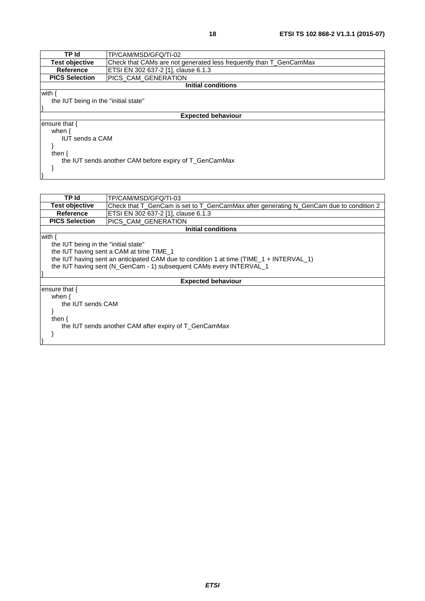| <b>TP Id</b>                                           | TP/CAM/MSD/GFQ/TI-02                                               |  |
|--------------------------------------------------------|--------------------------------------------------------------------|--|
| <b>Test objective</b>                                  | Check that CAMs are not generated less frequently than T GenCamMax |  |
| Reference                                              | ETSI EN 302 637-2 [1], clause 6.1.3                                |  |
| <b>PICS Selection</b>                                  | <b>PICS CAM GENERATION</b>                                         |  |
|                                                        | <b>Initial conditions</b>                                          |  |
| with {                                                 |                                                                    |  |
| the IUT being in the "initial state"                   |                                                                    |  |
|                                                        |                                                                    |  |
|                                                        | <b>Expected behaviour</b>                                          |  |
| ensure that {                                          |                                                                    |  |
| when $\{$                                              |                                                                    |  |
| <b>IUT sends a CAM</b>                                 |                                                                    |  |
|                                                        |                                                                    |  |
| then $\{$                                              |                                                                    |  |
| the IUT sends another CAM before expiry of T_GenCamMax |                                                                    |  |
|                                                        |                                                                    |  |
|                                                        |                                                                    |  |

}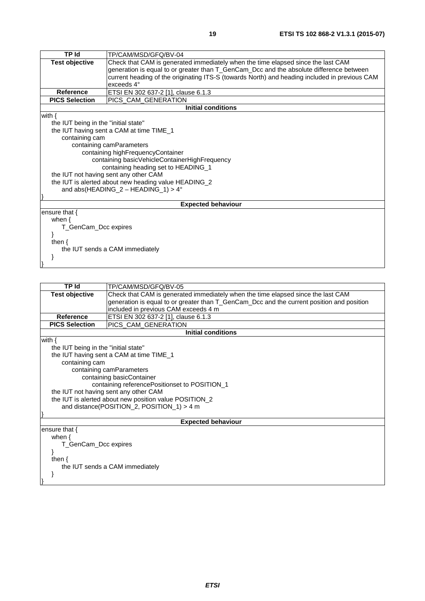| TP Id                                                | TP/CAM/MSD/GFQ/BV-04                                                                          |  |  |  |
|------------------------------------------------------|-----------------------------------------------------------------------------------------------|--|--|--|
| <b>Test objective</b>                                | Check that CAM is generated immediately when the time elapsed since the last CAM              |  |  |  |
|                                                      | generation is equal to or greater than T_GenCam_Dcc and the absolute difference between       |  |  |  |
|                                                      | current heading of the originating ITS-S (towards North) and heading included in previous CAM |  |  |  |
|                                                      | exceeds 4°                                                                                    |  |  |  |
| <b>Reference</b>                                     | ETSI EN 302 637-2 [1], clause 6.1.3                                                           |  |  |  |
| <b>PICS Selection</b>                                | PICS CAM GENERATION                                                                           |  |  |  |
|                                                      | <b>Initial conditions</b>                                                                     |  |  |  |
| with $\{$                                            |                                                                                               |  |  |  |
| the IUT being in the "initial state"                 |                                                                                               |  |  |  |
| the IUT having sent a CAM at time TIME_1             |                                                                                               |  |  |  |
| containing cam                                       |                                                                                               |  |  |  |
| containing camParameters                             |                                                                                               |  |  |  |
|                                                      | containing highFrequencyContainer                                                             |  |  |  |
| containing basicVehicleContainerHighFrequency        |                                                                                               |  |  |  |
| containing heading set to HEADING_1                  |                                                                                               |  |  |  |
| the IUT not having sent any other CAM                |                                                                                               |  |  |  |
| the IUT is alerted about new heading value HEADING_2 |                                                                                               |  |  |  |
| and abs(HEADING_2 - HEADING_1) > $4^{\circ}$         |                                                                                               |  |  |  |
|                                                      |                                                                                               |  |  |  |
|                                                      | <b>Expected behaviour</b>                                                                     |  |  |  |
| ensure that $\{$                                     |                                                                                               |  |  |  |
| when $\{$                                            |                                                                                               |  |  |  |
| T_GenCam_Dcc expires                                 |                                                                                               |  |  |  |
|                                                      |                                                                                               |  |  |  |
| then $\{$                                            |                                                                                               |  |  |  |
| the IUT sends a CAM immediately                      |                                                                                               |  |  |  |
|                                                      |                                                                                               |  |  |  |
|                                                      |                                                                                               |  |  |  |

| <b>TP Id</b>                                           | TP/CAM/MSD/GFQ/BV-05                                                                      |  |  |
|--------------------------------------------------------|-------------------------------------------------------------------------------------------|--|--|
| <b>Test objective</b>                                  | Check that CAM is generated immediately when the time elapsed since the last CAM          |  |  |
|                                                        | generation is equal to or greater than T_GenCam_Dcc and the current position and position |  |  |
|                                                        | included in previous CAM exceeds 4 m                                                      |  |  |
| <b>Reference</b>                                       | ETSI EN 302 637-2 [1], clause 6.1.3                                                       |  |  |
| <b>PICS Selection</b>                                  | PICS_CAM_GENERATION                                                                       |  |  |
|                                                        | <b>Initial conditions</b>                                                                 |  |  |
| with $\{$                                              |                                                                                           |  |  |
| the IUT being in the "initial state"                   |                                                                                           |  |  |
|                                                        | the IUT having sent a CAM at time TIME_1                                                  |  |  |
| containing cam                                         |                                                                                           |  |  |
|                                                        | containing camParameters                                                                  |  |  |
|                                                        | containing basicContainer                                                                 |  |  |
|                                                        | containing referencePositionset to POSITION_1                                             |  |  |
| the IUT not having sent any other CAM                  |                                                                                           |  |  |
| the IUT is alerted about new position value POSITION_2 |                                                                                           |  |  |
| and distance(POSITION_2, POSITION_1) > 4 m             |                                                                                           |  |  |
|                                                        |                                                                                           |  |  |
|                                                        | <b>Expected behaviour</b>                                                                 |  |  |
| ensure that $\{$                                       |                                                                                           |  |  |
| when $\{$                                              |                                                                                           |  |  |
| T GenCam Dcc expires                                   |                                                                                           |  |  |
|                                                        |                                                                                           |  |  |
| then $\{$                                              |                                                                                           |  |  |
| the IUT sends a CAM immediately                        |                                                                                           |  |  |
|                                                        |                                                                                           |  |  |
|                                                        |                                                                                           |  |  |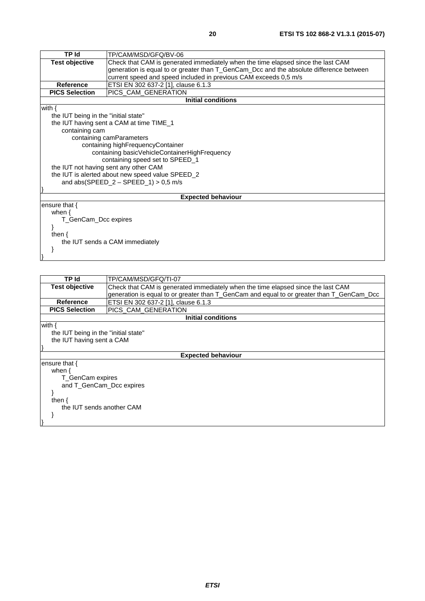| <b>TP Id</b>                                     | TP/CAM/MSD/GFQ/BV-06                                                                    |  |  |
|--------------------------------------------------|-----------------------------------------------------------------------------------------|--|--|
| <b>Test objective</b>                            | Check that CAM is generated immediately when the time elapsed since the last CAM        |  |  |
|                                                  | generation is equal to or greater than T_GenCam_Dcc and the absolute difference between |  |  |
|                                                  | current speed and speed included in previous CAM exceeds 0,5 m/s                        |  |  |
| <b>Reference</b>                                 | ETSI EN 302 637-2 [1], clause 6.1.3                                                     |  |  |
| <b>PICS Selection</b>                            | PICS_CAM_GENERATION                                                                     |  |  |
|                                                  | <b>Initial conditions</b>                                                               |  |  |
| with $\{$                                        |                                                                                         |  |  |
| the IUT being in the "initial state"             |                                                                                         |  |  |
|                                                  | the IUT having sent a CAM at time TIME_1                                                |  |  |
| containing cam                                   |                                                                                         |  |  |
|                                                  | containing camParameters                                                                |  |  |
|                                                  | containing highFrequencyContainer                                                       |  |  |
|                                                  | containing basicVehicleContainerHighFrequency                                           |  |  |
| containing speed set to SPEED_1                  |                                                                                         |  |  |
| the IUT not having sent any other CAM            |                                                                                         |  |  |
| the IUT is alerted about new speed value SPEED_2 |                                                                                         |  |  |
| and abs(SPEED_2 - SPEED_1) > $0,5$ m/s           |                                                                                         |  |  |
|                                                  |                                                                                         |  |  |
|                                                  | <b>Expected behaviour</b>                                                               |  |  |
| ensure that $\{$                                 |                                                                                         |  |  |
| when $\{$                                        |                                                                                         |  |  |
| T_GenCam_Dcc expires                             |                                                                                         |  |  |
|                                                  |                                                                                         |  |  |
| then $\{$                                        |                                                                                         |  |  |
| the IUT sends a CAM immediately                  |                                                                                         |  |  |
|                                                  |                                                                                         |  |  |
|                                                  |                                                                                         |  |  |

| TP Id                                | TP/CAM/MSD/GFQ/TI-07                                                                      |  |  |  |
|--------------------------------------|-------------------------------------------------------------------------------------------|--|--|--|
| <b>Test objective</b>                | Check that CAM is generated immediately when the time elapsed since the last CAM          |  |  |  |
|                                      | generation is equal to or greater than T_GenCam and equal to or greater than T_GenCam_Dcc |  |  |  |
| <b>Reference</b>                     | ETSI EN 302 637-2 [1], clause 6.1.3                                                       |  |  |  |
| <b>PICS Selection</b>                | PICS_CAM_GENERATION                                                                       |  |  |  |
|                                      | Initial conditions                                                                        |  |  |  |
| with $\{$                            |                                                                                           |  |  |  |
| the IUT being in the "initial state" |                                                                                           |  |  |  |
| the IUT having sent a CAM            |                                                                                           |  |  |  |
|                                      |                                                                                           |  |  |  |
| <b>Expected behaviour</b>            |                                                                                           |  |  |  |
| ensure that $\{$                     |                                                                                           |  |  |  |
| when $\{$                            |                                                                                           |  |  |  |
| T_GenCam expires                     |                                                                                           |  |  |  |
| and T GenCam Dcc expires             |                                                                                           |  |  |  |
|                                      |                                                                                           |  |  |  |
| then $\{$                            |                                                                                           |  |  |  |
| the IUT sends another CAM            |                                                                                           |  |  |  |
|                                      |                                                                                           |  |  |  |
|                                      |                                                                                           |  |  |  |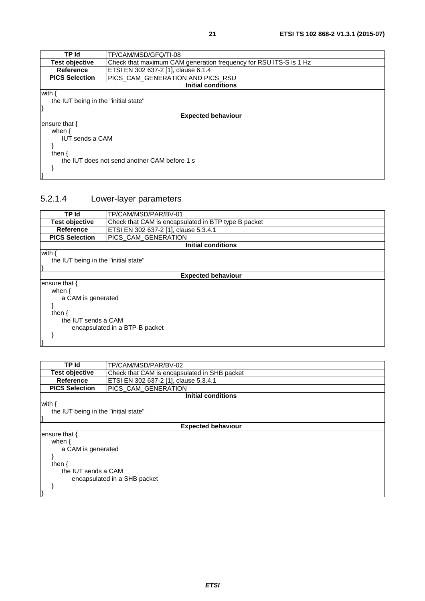<span id="page-20-0"></span>

| TP Id                                        | TP/CAM/MSD/GFQ/TI-08                                              |  |  |
|----------------------------------------------|-------------------------------------------------------------------|--|--|
| <b>Test objective</b>                        | Check that maximum CAM generation frequency for RSU ITS-S is 1 Hz |  |  |
| Reference                                    | ETSI EN 302 637-2 [1], clause 6.1.4                               |  |  |
| <b>PICS Selection</b>                        | PICS_CAM_GENERATION AND PICS_RSU                                  |  |  |
|                                              | <b>Initial conditions</b>                                         |  |  |
| with {                                       |                                                                   |  |  |
| the IUT being in the "initial state"         |                                                                   |  |  |
|                                              |                                                                   |  |  |
| <b>Expected behaviour</b>                    |                                                                   |  |  |
| ensure that {                                |                                                                   |  |  |
| when $\{$                                    |                                                                   |  |  |
| <b>IUT sends a CAM</b>                       |                                                                   |  |  |
|                                              |                                                                   |  |  |
| then $\{$                                    |                                                                   |  |  |
| the IUT does not send another CAM before 1 s |                                                                   |  |  |
|                                              |                                                                   |  |  |
|                                              |                                                                   |  |  |

### 5.2.1.4 Lower-layer parameters

| TP Id                                | TP/CAM/MSD/PAR/BV-01                                |  |  |  |
|--------------------------------------|-----------------------------------------------------|--|--|--|
| <b>Test objective</b>                | Check that CAM is encapsulated in BTP type B packet |  |  |  |
| <b>Reference</b>                     | ETSI EN 302 637-2 [1], clause 5.3.4.1               |  |  |  |
| <b>PICS Selection</b>                | <b>PICS CAM GENERATION</b>                          |  |  |  |
|                                      | Initial conditions                                  |  |  |  |
| with {                               |                                                     |  |  |  |
| the IUT being in the "initial state" |                                                     |  |  |  |
|                                      |                                                     |  |  |  |
| <b>Expected behaviour</b>            |                                                     |  |  |  |
| ensure that {                        |                                                     |  |  |  |
| when $\{$                            |                                                     |  |  |  |
| a CAM is generated                   |                                                     |  |  |  |
|                                      |                                                     |  |  |  |
| then {                               |                                                     |  |  |  |
| the IUT sends a CAM                  |                                                     |  |  |  |
| encapsulated in a BTP-B packet       |                                                     |  |  |  |
|                                      |                                                     |  |  |  |
|                                      |                                                     |  |  |  |

| TP Id                                | TP/CAM/MSD/PAR/BV-02                         |  |  |
|--------------------------------------|----------------------------------------------|--|--|
| <b>Test objective</b>                | Check that CAM is encapsulated in SHB packet |  |  |
| Reference                            | ETSI EN 302 637-2 [1], clause 5.3.4.1        |  |  |
| <b>PICS Selection</b>                | PICS_CAM_GENERATION                          |  |  |
|                                      | <b>Initial conditions</b>                    |  |  |
| with                                 |                                              |  |  |
| the IUT being in the "initial state" |                                              |  |  |
|                                      |                                              |  |  |
|                                      | <b>Expected behaviour</b>                    |  |  |
| ensure that {                        |                                              |  |  |
| when $\{$                            |                                              |  |  |
| a CAM is generated                   |                                              |  |  |
|                                      |                                              |  |  |
| then $\{$                            |                                              |  |  |
| the IUT sends a CAM                  |                                              |  |  |
| encapsulated in a SHB packet         |                                              |  |  |
|                                      |                                              |  |  |
|                                      |                                              |  |  |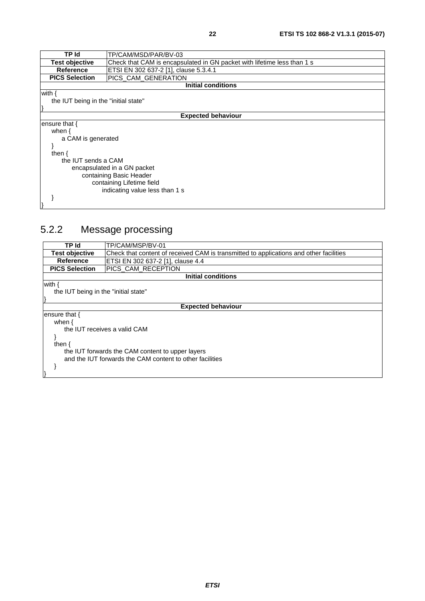<span id="page-21-0"></span>

| TP Id                                | TP/CAM/MSD/PAR/BV-03                                                    |  |  |  |
|--------------------------------------|-------------------------------------------------------------------------|--|--|--|
| <b>Test objective</b>                | Check that CAM is encapsulated in GN packet with lifetime less than 1 s |  |  |  |
| <b>Reference</b>                     | ETSI EN 302 637-2 [1], clause 5.3.4.1                                   |  |  |  |
| <b>PICS Selection</b>                | PICS_CAM_GENERATION                                                     |  |  |  |
|                                      | <b>Initial conditions</b>                                               |  |  |  |
| with $\{$                            |                                                                         |  |  |  |
| the IUT being in the "initial state" |                                                                         |  |  |  |
|                                      |                                                                         |  |  |  |
|                                      | <b>Expected behaviour</b>                                               |  |  |  |
| ensure that {                        |                                                                         |  |  |  |
| when $\{$                            |                                                                         |  |  |  |
| a CAM is generated                   |                                                                         |  |  |  |
|                                      |                                                                         |  |  |  |
| then $\{$                            |                                                                         |  |  |  |
| the IUT sends a CAM                  |                                                                         |  |  |  |
| encapsulated in a GN packet          |                                                                         |  |  |  |
| containing Basic Header              |                                                                         |  |  |  |
| containing Lifetime field            |                                                                         |  |  |  |
| indicating value less than 1 s       |                                                                         |  |  |  |
|                                      |                                                                         |  |  |  |
|                                      |                                                                         |  |  |  |

### 5.2.2 Message processing

| TP Id                                                    | TP/CAM/MSP/BV-01                                                                       |  |  |
|----------------------------------------------------------|----------------------------------------------------------------------------------------|--|--|
| Test objective                                           | Check that content of received CAM is transmitted to applications and other facilities |  |  |
| Reference                                                | ETSI EN 302 637-2 [1], clause 4.4                                                      |  |  |
| <b>PICS Selection</b>                                    | PICS_CAM_RECEPTION                                                                     |  |  |
|                                                          | <b>Initial conditions</b>                                                              |  |  |
| with                                                     |                                                                                        |  |  |
| the IUT being in the "initial state"                     |                                                                                        |  |  |
|                                                          |                                                                                        |  |  |
|                                                          | <b>Expected behaviour</b>                                                              |  |  |
| ensure that {                                            |                                                                                        |  |  |
| when $\{$                                                |                                                                                        |  |  |
| the IUT receives a valid CAM                             |                                                                                        |  |  |
|                                                          |                                                                                        |  |  |
| then $\{$                                                |                                                                                        |  |  |
| the IUT forwards the CAM content to upper layers         |                                                                                        |  |  |
| and the IUT forwards the CAM content to other facilities |                                                                                        |  |  |
|                                                          |                                                                                        |  |  |
|                                                          |                                                                                        |  |  |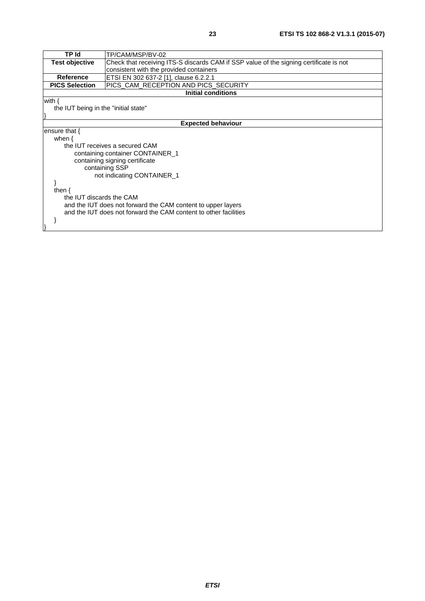| TP/CAM/MSP/BV-02                                                                       |  |  |
|----------------------------------------------------------------------------------------|--|--|
| Check that receiving ITS-S discards CAM if SSP value of the signing certificate is not |  |  |
| consistent with the provided containers                                                |  |  |
| ETSI EN 302 637-2 [1], clause 6.2.2.1                                                  |  |  |
| PICS_CAM_RECEPTION AND PICS_SECURITY                                                   |  |  |
| <b>Initial conditions</b>                                                              |  |  |
|                                                                                        |  |  |
| the IUT being in the "initial state"                                                   |  |  |
|                                                                                        |  |  |
| <b>Expected behaviour</b>                                                              |  |  |
|                                                                                        |  |  |
|                                                                                        |  |  |
| the IUT receives a secured CAM                                                         |  |  |
| containing container CONTAINER_1                                                       |  |  |
|                                                                                        |  |  |
| containing signing certificate<br>containing SSP                                       |  |  |
|                                                                                        |  |  |
| not indicating CONTAINER_1                                                             |  |  |
|                                                                                        |  |  |
|                                                                                        |  |  |
| the IUT discards the CAM                                                               |  |  |
| and the IUT does not forward the CAM content to upper layers                           |  |  |
| and the IUT does not forward the CAM content to other facilities                       |  |  |
|                                                                                        |  |  |
|                                                                                        |  |  |
|                                                                                        |  |  |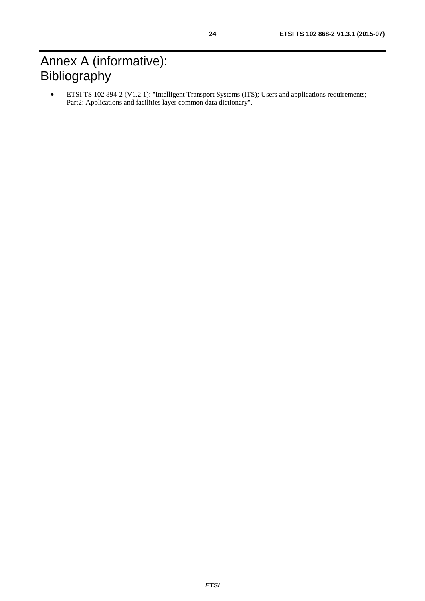# <span id="page-23-0"></span>Annex A (informative): Bibliography

• ETSI TS 102 894-2 (V1.2.1): "Intelligent Transport Systems (ITS); Users and applications requirements; Part2: Applications and facilities layer common data dictionary".